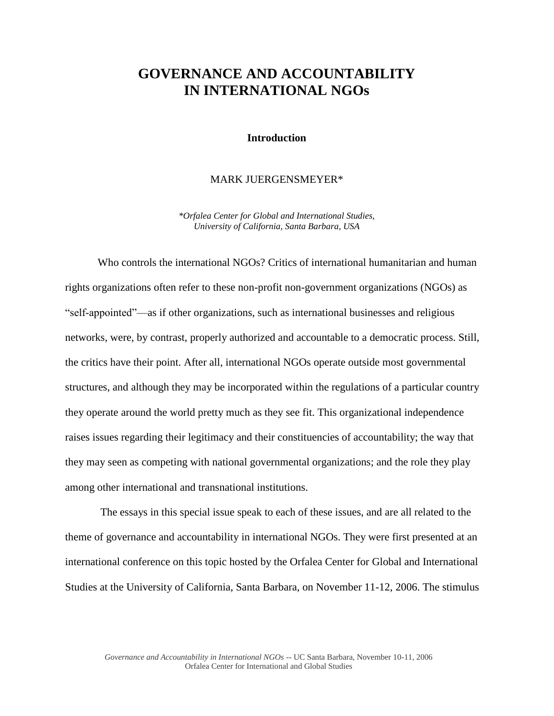## **GOVERNANCE AND ACCOUNTABILITY IN INTERNATIONAL NGOs**

## **Introduction**

## MARK JUERGENSMEYER\*

*\*Orfalea Center for Global and International Studies, University of California, Santa Barbara, USA*

Who controls the international NGOs? Critics of international humanitarian and human rights organizations often refer to these non-profit non-government organizations (NGOs) as "self-appointed"—as if other organizations, such as international businesses and religious networks, were, by contrast, properly authorized and accountable to a democratic process. Still, the critics have their point. After all, international NGOs operate outside most governmental structures, and although they may be incorporated within the regulations of a particular country they operate around the world pretty much as they see fit. This organizational independence raises issues regarding their legitimacy and their constituencies of accountability; the way that they may seen as competing with national governmental organizations; and the role they play among other international and transnational institutions.

The essays in this special issue speak to each of these issues, and are all related to the theme of governance and accountability in international NGOs. They were first presented at an international conference on this topic hosted by the Orfalea Center for Global and International Studies at the University of California, Santa Barbara, on November 11-12, 2006. The stimulus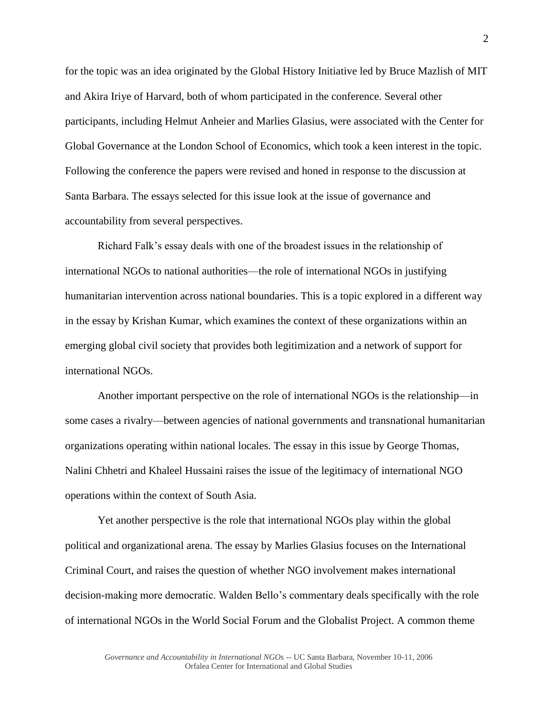for the topic was an idea originated by the Global History Initiative led by Bruce Mazlish of MIT and Akira Iriye of Harvard, both of whom participated in the conference. Several other participants, including Helmut Anheier and Marlies Glasius, were associated with the Center for Global Governance at the London School of Economics, which took a keen interest in the topic. Following the conference the papers were revised and honed in response to the discussion at Santa Barbara. The essays selected for this issue look at the issue of governance and accountability from several perspectives.

Richard Falk's essay deals with one of the broadest issues in the relationship of international NGOs to national authorities—the role of international NGOs in justifying humanitarian intervention across national boundaries. This is a topic explored in a different way in the essay by Krishan Kumar, which examines the context of these organizations within an emerging global civil society that provides both legitimization and a network of support for international NGOs.

Another important perspective on the role of international NGOs is the relationship—in some cases a rivalry—between agencies of national governments and transnational humanitarian organizations operating within national locales. The essay in this issue by George Thomas, Nalini Chhetri and Khaleel Hussaini raises the issue of the legitimacy of international NGO operations within the context of South Asia.

Yet another perspective is the role that international NGOs play within the global political and organizational arena. The essay by Marlies Glasius focuses on the International Criminal Court, and raises the question of whether NGO involvement makes international decision-making more democratic. Walden Bello's commentary deals specifically with the role of international NGOs in the World Social Forum and the Globalist Project. A common theme